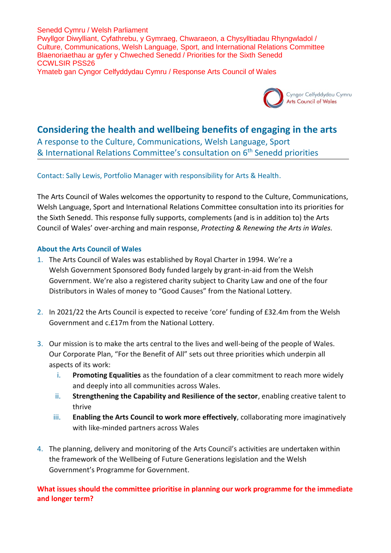Senedd Cymru / Welsh Parliament Pwyllgor Diwylliant, Cyfathrebu, y Gymraeg, Chwaraeon, a Chysylltiadau Rhyngwladol / Culture, Communications, Welsh Language, Sport, and International Relations Committee Blaenoriaethau ar gyfer y Chweched Senedd / Priorities for the Sixth Senedd CCWLSIR PSS26 Ymateb gan Cyngor Celfyddydau Cymru / Response Arts Council of Wales



# **Considering the health and wellbeing benefits of engaging in the arts**

A response to the Culture, Communications, Welsh Language, Sport & International Relations Committee's consultation on 6<sup>th</sup> Senedd priorities

#### Contact: Sally Lewis, Portfolio Manager with responsibility for Arts & Health.

The Arts Council of Wales welcomes the opportunity to respond to the Culture, Communications, Welsh Language, Sport and International Relations Committee consultation into its priorities for the Sixth Senedd. This response fully supports, complements (and is in addition to) the Arts Council of Wales' over-arching and main response, *Protecting & Renewing the Arts in Wales.*

#### **About the Arts Council of Wales**

- 1. The Arts Council of Wales was established by Royal Charter in 1994. We're a Welsh Government Sponsored Body funded largely by grant-in-aid from the Welsh Government. We're also a registered charity subject to Charity Law and one of the four Distributors in Wales of money to "Good Causes" from the National Lottery.
- 2. In 2021/22 the Arts Council is expected to receive 'core' funding of £32.4m from the Welsh Government and c.£17m from the National Lottery.
- 3. Our mission is to make the arts central to the lives and well-being of the people of Wales. Our Corporate Plan, "For the Benefit of All" sets out three priorities which underpin all aspects of its work:
	- i. **Promoting Equalities** as the foundation of a clear commitment to reach more widely and deeply into all communities across Wales.
	- ii. **Strengthening the Capability and Resilience of the sector**, enabling creative talent to thrive
	- iii. **Enabling the Arts Council to work more effectively**, collaborating more imaginatively with like-minded partners across Wales
- 4. The planning, delivery and monitoring of the Arts Council's activities are undertaken within the framework of the Wellbeing of Future Generations legislation and the Welsh Government's Programme for Government.

## **What issues should the committee prioritise in planning our work programme for the immediate and longer term?**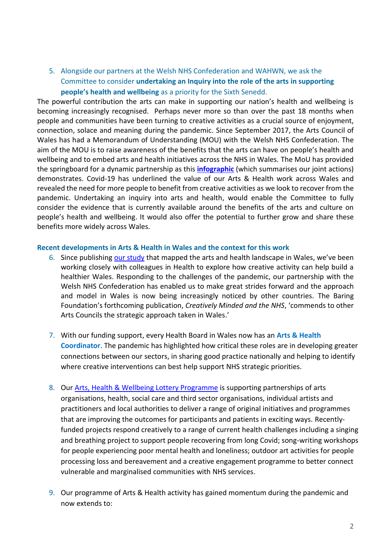5. Alongside our partners at the Welsh NHS Confederation and WAHWN, we ask the Committee to consider **undertaking an Inquiry into the role of the arts in supporting people's health and wellbeing** as a priority for the Sixth Senedd.

The powerful contribution the arts can make in supporting our nation's health and wellbeing is becoming increasingly recognised. Perhaps never more so than over the past 18 months when people and communities have been turning to creative activities as a crucial source of enjoyment, connection, solace and meaning during the pandemic. Since September 2017, the Arts Council of Wales has had a Memorandum of Understanding (MOU) with the Welsh NHS Confederation. The aim of the MOU is to raise awareness of the benefits that the arts can have on people's health and wellbeing and to embed arts and health initiatives across the NHS in Wales. The MoU has provided the springboard for a dynamic partnership as this **[infographic](https://www.nhsconfed.org/sites/default/files/media/Advancing%20Arts%20Health%20and%20Wellbeing.pdf)** (which summarises our joint actions) demonstrates. Covid-19 has underlined the value of our Arts & Health work across Wales and revealed the need for more people to benefit from creative activities as we look to recover from the pandemic. Undertaking an inquiry into arts and health, would enable the Committee to fully consider the evidence that is currently available around the benefits of the arts and culture on people's health and wellbeing. It would also offer the potential to further grow and share these benefits more widely across Wales.

#### **Recent developments in Arts & Health in Wales and the context for this work**

- 6. Since publishing [our study](https://arts.wales/sites/default/files/2019-02/Arts_and_Health_Volume_1_0.pdf) that mapped [the arts and health landscape in Wales](https://arts.wales/sites/default/files/2019-02/Arts_and_Health_Volume_1_0.pdf), we've been working closely with colleagues in Health to explore how creative activity can help build a healthier Wales. Responding to the challenges of the pandemic, our partnership with the Welsh NHS Confederation has enabled us to make great strides forward and the approach and model in Wales is now being increasingly noticed by other countries. The Baring Foundation's forthcoming publication, *Creatively Minded and the NHS*, 'commends to other Arts Councils the strategic approach taken in Wales.'
- 7. With our funding support, every Health Board in Wales now has an **Arts & Health Coordinator**. The pandemic has highlighted how critical these roles are in developing greater connections between our sectors, in sharing good practice nationally and helping to identify where creative interventions can best help support NHS strategic priorities.
- 8. Our [Arts, Health & Wellbeing Lottery Programme](https://arts.wales/resources/guidelines-arts-health-wellbeing-lottery-programme) is supporting partnerships of arts organisations, health, social care and third sector organisations, individual artists and practitioners and local authorities to deliver a range of original initiatives and programmes that are improving the outcomes for participants and patients in exciting ways. Recentlyfunded projects respond creatively to a range of current health challenges including a singing and breathing project to support people recovering from long Covid; song-writing workshops for people experiencing poor mental health and loneliness; outdoor art activities for people processing loss and bereavement and a creative engagement programme to better connect vulnerable and marginalised communities with NHS services.
- 9. Our programme of Arts & Health activity has gained momentum during the pandemic and now extends to: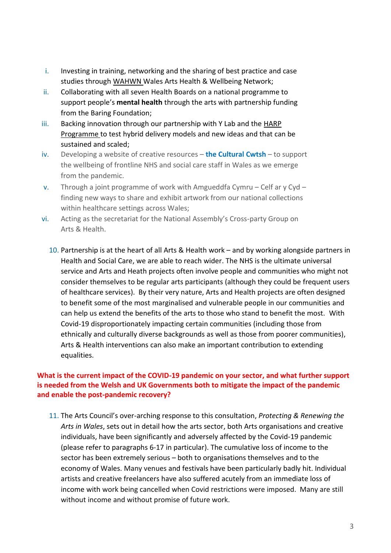- i. Investing in training, networking and the sharing of best practice and case studies through [WAHWN](https://wahwn.cymru/) Wales Arts Health & Wellbeing Network;
- ii. Collaborating with all seven Health Boards on a national programme to support people's **mental health** through the arts with partnership funding from the Baring Foundation;
- iii. Backing innovation through our partnership with Y Lab and the HARP [Programme](https://ylab.wales/programmes/health-arts-research-people) to test hybrid delivery models and new ideas and that can be sustained and scaled;
- iv. Developing a website of creative resources **the Cultural Cwtsh** to support the wellbeing of frontline NHS and social care staff in Wales as we emerge from the pandemic.
- v. Through a joint programme of work with Amgueddfa Cymru Celf ar y Cyd finding new ways to share and exhibit artwork from our national collections within healthcare settings across Wales;
- vi. Acting as the secretariat for the National Assembly's Cross-party Group on Arts & Health.
	- 10. Partnership is at the heart of all Arts & Health work and by working alongside partners in Health and Social Care, we are able to reach wider. The NHS is the ultimate universal service and Arts and Heath projects often involve people and communities who might not consider themselves to be regular arts participants (although they could be frequent users of healthcare services). By their very nature, Arts and Health projects are often designed to benefit some of the most marginalised and vulnerable people in our communities and can help us extend the benefits of the arts to those who stand to benefit the most. With Covid-19 disproportionately impacting certain communities (including those from ethnically and culturally diverse backgrounds as well as those from poorer communities), Arts & Health interventions can also make an important contribution to extending equalities.

## **What is the current impact of the COVID-19 pandemic on your sector, and what further support is needed from the Welsh and UK Governments both to mitigate the impact of the pandemic and enable the post-pandemic recovery?**

11. The Arts Council's over-arching response to this consultation, *Protecting & Renewing the Arts in Wales*, sets out in detail how the arts sector, both Arts organisations and creative individuals, have been significantly and adversely affected by the Covid-19 pandemic (please refer to paragraphs 6-17 in particular). The cumulative loss of income to the sector has been extremely serious – both to organisations themselves and to the economy of Wales. Many venues and festivals have been particularly badly hit. Individual artists and creative freelancers have also suffered acutely from an immediate loss of income with work being cancelled when Covid restrictions were imposed. Many are still without income and without promise of future work.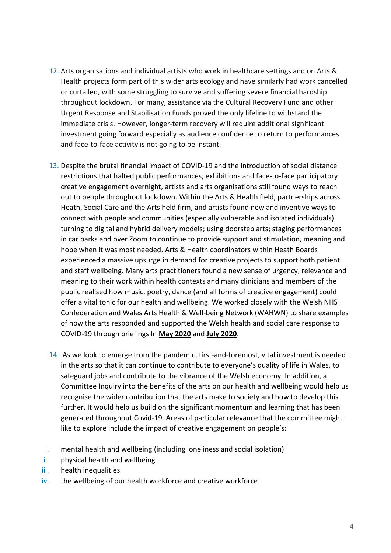- 12. Arts organisations and individual artists who work in healthcare settings and on Arts & Health projects form part of this wider arts ecology and have similarly had work cancelled or curtailed, with some struggling to survive and suffering severe financial hardship throughout lockdown. For many, assistance via the Cultural Recovery Fund and other Urgent Response and Stabilisation Funds proved the only lifeline to withstand the immediate crisis. However, longer-term recovery will require additional significant investment going forward especially as audience confidence to return to performances and face-to-face activity is not going to be instant.
- 13. Despite the brutal financial impact of COVID-19 and the introduction of social distance restrictions that halted public performances, exhibitions and face-to-face participatory creative engagement overnight, artists and arts organisations still found ways to reach out to people throughout lockdown. Within the Arts & Health field, partnerships across Heath, Social Care and the Arts held firm, and artists found new and inventive ways to connect with people and communities (especially vulnerable and isolated individuals) turning to digital and hybrid delivery models; using doorstep arts; staging performances in car parks and over Zoom to continue to provide support and stimulation, meaning and hope when it was most needed. Arts & Health coordinators within Heath Boards experienced a massive upsurge in demand for creative projects to support both patient and staff wellbeing. Many arts practitioners found a new sense of urgency, relevance and meaning to their work within health contexts and many clinicians and members of the public realised how music, poetry, dance (and all forms of creative engagement) could offer a vital tonic for our health and wellbeing. We worked closely with the Welsh NHS Confederation and Wales Arts Health & Well-being Network (WAHWN) to share examples of how the arts responded and supported the Welsh health and social care response to COVID-19 through briefings In **[May 2020](https://www.nhsconfed.org/sites/default/files/media/How-the-arts-are-supporting-Welsh-health-and-social-care-response-to-COVID-19_4.pdf)** and **[July 2020](https://www.nhsconfed.org/sites/default/files/media/How-the-arts-are-still-supporting-Welsh-health-and-social-care-response-to-COVID-19.pdf)**.
- 14. As we look to emerge from the pandemic, first-and-foremost, vital investment is needed in the arts so that it can continue to contribute to everyone's quality of life in Wales, to safeguard jobs and contribute to the vibrance of the Welsh economy. In addition, a Committee Inquiry into the benefits of the arts on our health and wellbeing would help us recognise the wider contribution that the arts make to society and how to develop this further. It would help us build on the significant momentum and learning that has been generated throughout Covid-19. Areas of particular relevance that the committee might like to explore include the impact of creative engagement on people's:
- i. mental health and wellbeing (including loneliness and social isolation)
- ii. physical health and wellbeing
- iii. health inequalities
- iv. the wellbeing of our health workforce and creative workforce